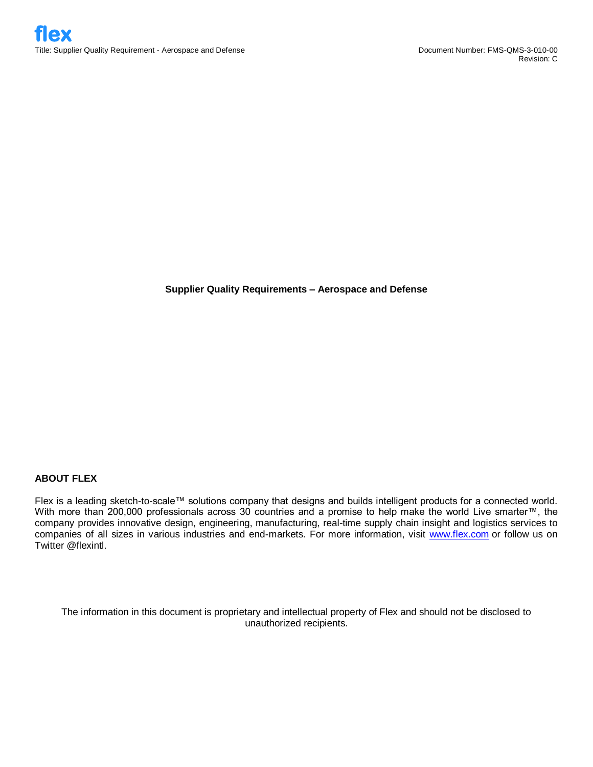**Supplier Quality Requirements – Aerospace and Defense**

### **ABOUT FLEX**

Flex is a leading sketch-to-scale™ solutions company that designs and builds intelligent products for a connected world. With more than 200,000 professionals across 30 countries and a promise to help make the world Live smarter™, the company provides innovative design, engineering, manufacturing, real-time supply chain insight and logistics services to companies of all sizes in various industries and end-markets. For more information, visit www.flex.com or follow us on Twitter @flexintl.

The information in this document is proprietary and intellectual property of Flex and should not be disclosed to unauthorized recipients.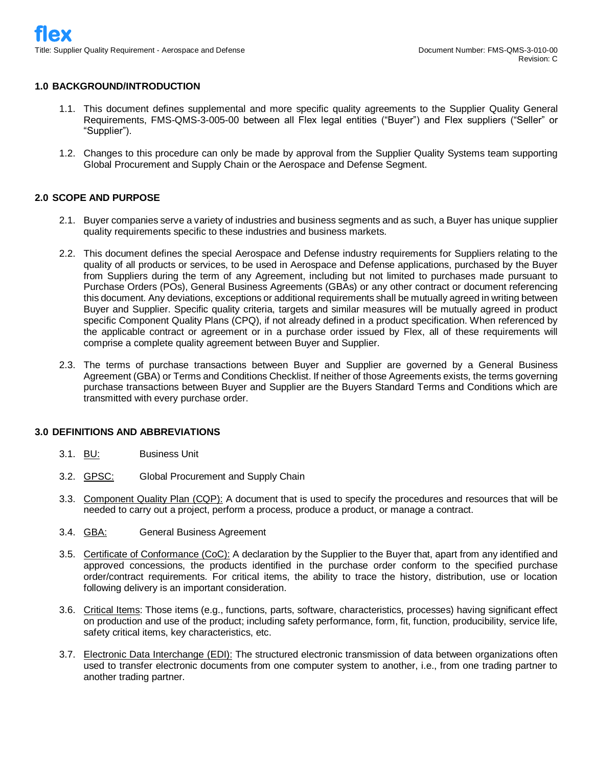## **1.0 BACKGROUND/INTRODUCTION**

- 1.1. This document defines supplemental and more specific quality agreements to the Supplier Quality General Requirements, FMS-QMS-3-005-00 between all Flex legal entities ("Buyer") and Flex suppliers ("Seller" or "Supplier").
- 1.2. Changes to this procedure can only be made by approval from the Supplier Quality Systems team supporting Global Procurement and Supply Chain or the Aerospace and Defense Segment.

### **2.0 SCOPE AND PURPOSE**

- 2.1. Buyer companies serve a variety of industries and business segments and as such, a Buyer has unique supplier quality requirements specific to these industries and business markets.
- 2.2. This document defines the special Aerospace and Defense industry requirements for Suppliers relating to the quality of all products or services, to be used in Aerospace and Defense applications, purchased by the Buyer from Suppliers during the term of any Agreement, including but not limited to purchases made pursuant to Purchase Orders (POs), General Business Agreements (GBAs) or any other contract or document referencing this document. Any deviations, exceptions or additional requirements shall be mutually agreed in writing between Buyer and Supplier. Specific quality criteria, targets and similar measures will be mutually agreed in product specific Component Quality Plans (CPQ), if not already defined in a product specification. When referenced by the applicable contract or agreement or in a purchase order issued by Flex, all of these requirements will comprise a complete quality agreement between Buyer and Supplier.
- 2.3. The terms of purchase transactions between Buyer and Supplier are governed by a General Business Agreement (GBA) or Terms and Conditions Checklist. If neither of those Agreements exists, the terms governing purchase transactions between Buyer and Supplier are the Buyers Standard Terms and Conditions which are transmitted with every purchase order.

### **3.0 DEFINITIONS AND ABBREVIATIONS**

- 3.1. BU: Business Unit
- 3.2. GPSC: Global Procurement and Supply Chain
- 3.3. Component Quality Plan (CQP): A document that is used to specify the procedures and resources that will be needed to carry out a project, perform a process, produce a product, or manage a contract.
- 3.4. GBA: General Business Agreement
- 3.5. Certificate of Conformance (CoC): A declaration by the Supplier to the Buyer that, apart from any identified and approved concessions, the products identified in the purchase order conform to the specified purchase order/contract requirements. For critical items, the ability to trace the history, distribution, use or location following delivery is an important consideration.
- 3.6. Critical Items: Those items (e.g., functions, parts, software, characteristics, processes) having significant effect on production and use of the product; including safety performance, form, fit, function, producibility, service life, safety critical items, key characteristics, etc.
- 3.7. Electronic Data Interchange (EDI): The structured electronic transmission of data between organizations often used to transfer electronic documents from one computer system to another, i.e., from one trading partner to another trading partner.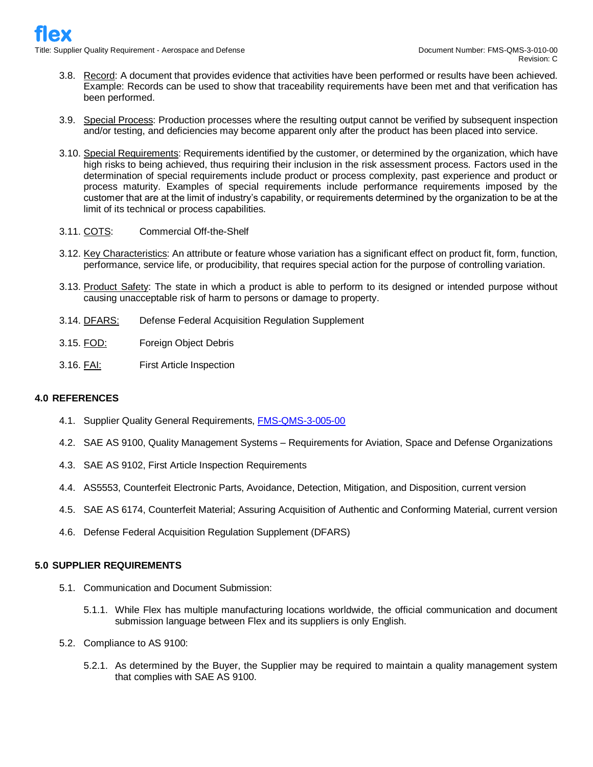- 3.8. Record: A document that provides evidence that activities have been performed or results have been achieved. Example: Records can be used to show that traceability requirements have been met and that verification has been performed.
- 3.9. Special Process: Production processes where the resulting output cannot be verified by subsequent inspection and/or testing, and deficiencies may become apparent only after the product has been placed into service.
- 3.10. Special Requirements: Requirements identified by the customer, or determined by the organization, which have high risks to being achieved, thus requiring their inclusion in the risk assessment process. Factors used in the determination of special requirements include product or process complexity, past experience and product or process maturity. Examples of special requirements include performance requirements imposed by the customer that are at the limit of industry's capability, or requirements determined by the organization to be at the limit of its technical or process capabilities.
- 3.11. COTS: Commercial Off-the-Shelf
- 3.12. Key Characteristics: An attribute or feature whose variation has a significant effect on product fit, form, function, performance, service life, or producibility, that requires special action for the purpose of controlling variation.
- 3.13. Product Safety: The state in which a product is able to perform to its designed or intended purpose without causing unacceptable risk of harm to persons or damage to property.
- 3.14. DFARS: Defense Federal Acquisition Regulation Supplement
- 3.15. FOD: Foreign Object Debris
- 3.16. FAI: First Article Inspection

#### **4.0 REFERENCES**

- 4.1. Supplier Quality General Requirements, **FMS-QMS-3-005-00**
- 4.2. SAE AS 9100, Quality Management Systems Requirements for Aviation, Space and Defense Organizations
- 4.3. SAE AS 9102, First Article Inspection Requirements
- 4.4. AS5553, Counterfeit Electronic Parts, Avoidance, Detection, Mitigation, and Disposition, current version
- 4.5. SAE AS 6174, Counterfeit Material; Assuring Acquisition of Authentic and Conforming Material, current version
- 4.6. Defense Federal Acquisition Regulation Supplement (DFARS)

## **5.0 SUPPLIER REQUIREMENTS**

- 5.1. Communication and Document Submission:
	- 5.1.1. While Flex has multiple manufacturing locations worldwide, the official communication and document submission language between Flex and its suppliers is only English.
- 5.2. Compliance to AS 9100:
	- 5.2.1. As determined by the Buyer, the Supplier may be required to maintain a quality management system that complies with SAE AS 9100.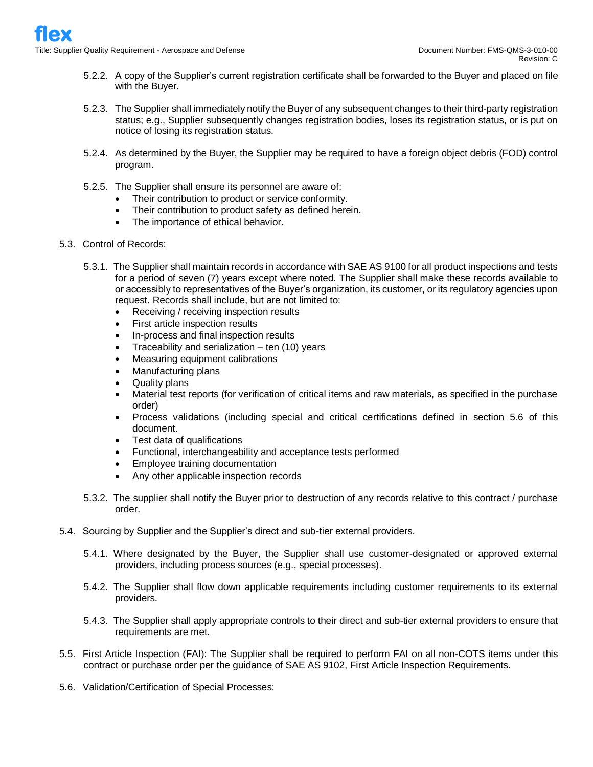- 5.2.2. A copy of the Supplier's current registration certificate shall be forwarded to the Buyer and placed on file with the Buyer.
- 5.2.3. The Supplier shall immediately notify the Buyer of any subsequent changes to their third-party registration status; e.g., Supplier subsequently changes registration bodies, loses its registration status, or is put on notice of losing its registration status.
- 5.2.4. As determined by the Buyer, the Supplier may be required to have a foreign object debris (FOD) control program.
- 5.2.5. The Supplier shall ensure its personnel are aware of:
	- Their contribution to product or service conformity.
	- Their contribution to product safety as defined herein.
	- The importance of ethical behavior.
- 5.3. Control of Records:
	- 5.3.1. The Supplier shall maintain records in accordance with SAE AS 9100 for all product inspections and tests for a period of seven (7) years except where noted. The Supplier shall make these records available to or accessibly to representatives of the Buyer's organization, its customer, or its regulatory agencies upon request. Records shall include, but are not limited to:
		- Receiving / receiving inspection results
		- First article inspection results
		- In-process and final inspection results
		- Traceability and serialization  $-$  ten (10) years
		- Measuring equipment calibrations
		- Manufacturing plans
		- Quality plans
		- Material test reports (for verification of critical items and raw materials, as specified in the purchase order)
		- Process validations (including special and critical certifications defined in section 5.6 of this document.
		- Test data of qualifications
		- Functional, interchangeability and acceptance tests performed
		- Employee training documentation
		- Any other applicable inspection records
	- 5.3.2. The supplier shall notify the Buyer prior to destruction of any records relative to this contract / purchase order.
- 5.4. Sourcing by Supplier and the Supplier's direct and sub-tier external providers.
	- 5.4.1. Where designated by the Buyer, the Supplier shall use customer-designated or approved external providers, including process sources (e.g., special processes).
	- 5.4.2. The Supplier shall flow down applicable requirements including customer requirements to its external providers.
	- 5.4.3. The Supplier shall apply appropriate controls to their direct and sub-tier external providers to ensure that requirements are met.
- 5.5. First Article Inspection (FAI): The Supplier shall be required to perform FAI on all non-COTS items under this contract or purchase order per the guidance of SAE AS 9102, First Article Inspection Requirements.
- 5.6. Validation/Certification of Special Processes: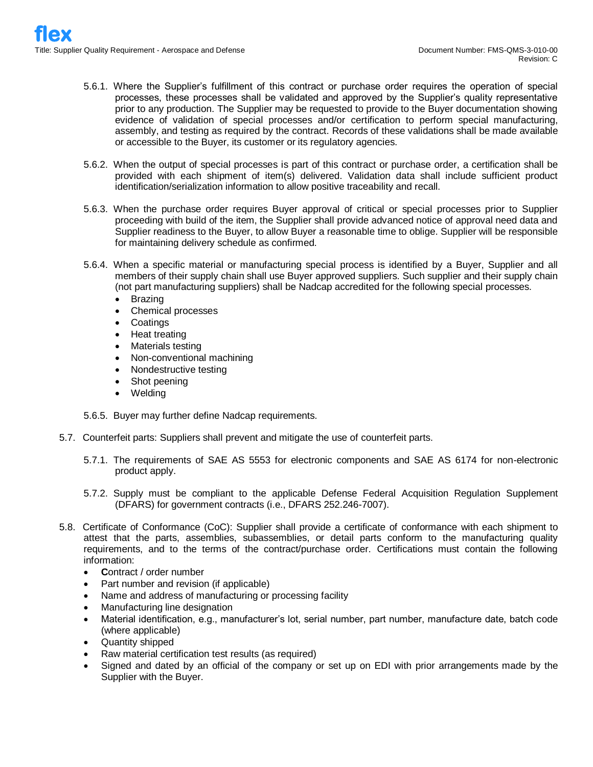- 5.6.1. Where the Supplier's fulfillment of this contract or purchase order requires the operation of special processes, these processes shall be validated and approved by the Supplier's quality representative prior to any production. The Supplier may be requested to provide to the Buyer documentation showing evidence of validation of special processes and/or certification to perform special manufacturing, assembly, and testing as required by the contract. Records of these validations shall be made available or accessible to the Buyer, its customer or its regulatory agencies.
- 5.6.2. When the output of special processes is part of this contract or purchase order, a certification shall be provided with each shipment of item(s) delivered. Validation data shall include sufficient product identification/serialization information to allow positive traceability and recall.
- 5.6.3. When the purchase order requires Buyer approval of critical or special processes prior to Supplier proceeding with build of the item, the Supplier shall provide advanced notice of approval need data and Supplier readiness to the Buyer, to allow Buyer a reasonable time to oblige. Supplier will be responsible for maintaining delivery schedule as confirmed.
- 5.6.4. When a specific material or manufacturing special process is identified by a Buyer, Supplier and all members of their supply chain shall use Buyer approved suppliers. Such supplier and their supply chain (not part manufacturing suppliers) shall be Nadcap accredited for the following special processes.
	- **Brazing**
	- Chemical processes
	- **Coatings**
	- Heat treating
	- Materials testing
	- Non-conventional machining
	- Nondestructive testing
	- Shot peening
	- Welding

5.6.5. Buyer may further define Nadcap requirements.

- 5.7. Counterfeit parts: Suppliers shall prevent and mitigate the use of counterfeit parts.
	- 5.7.1. The requirements of SAE AS 5553 for electronic components and SAE AS 6174 for non-electronic product apply.
	- 5.7.2. Supply must be compliant to the applicable Defense Federal Acquisition Regulation Supplement (DFARS) for government contracts (i.e., DFARS 252.246-7007).
- 5.8. Certificate of Conformance (CoC): Supplier shall provide a certificate of conformance with each shipment to attest that the parts, assemblies, subassemblies, or detail parts conform to the manufacturing quality requirements, and to the terms of the contract/purchase order. Certifications must contain the following information:
	- **C**ontract / order number
	- Part number and revision (if applicable)
	- Name and address of manufacturing or processing facility
	- Manufacturing line designation
	- Material identification, e.g., manufacturer's lot, serial number, part number, manufacture date, batch code (where applicable)
	- Quantity shipped
	- Raw material certification test results (as required)
	- Signed and dated by an official of the company or set up on EDI with prior arrangements made by the Supplier with the Buyer.